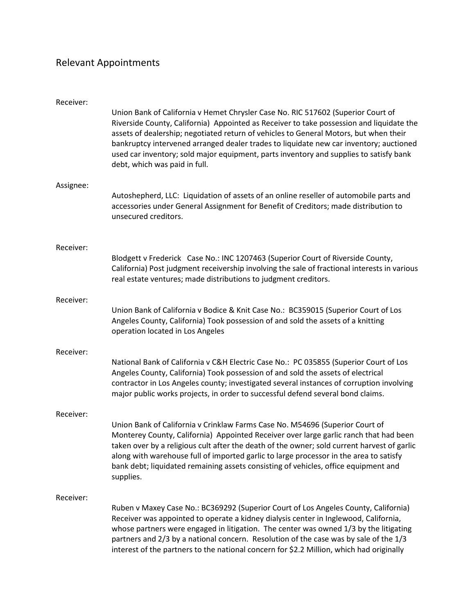## Relevant Appointments

| Receiver: | Union Bank of California v Hemet Chrysler Case No. RIC 517602 (Superior Court of<br>Riverside County, California) Appointed as Receiver to take possession and liquidate the<br>assets of dealership; negotiated return of vehicles to General Motors, but when their<br>bankruptcy intervened arranged dealer trades to liquidate new car inventory; auctioned<br>used car inventory; sold major equipment, parts inventory and supplies to satisfy bank<br>debt, which was paid in full. |
|-----------|--------------------------------------------------------------------------------------------------------------------------------------------------------------------------------------------------------------------------------------------------------------------------------------------------------------------------------------------------------------------------------------------------------------------------------------------------------------------------------------------|
| Assignee: | Autoshepherd, LLC: Liquidation of assets of an online reseller of automobile parts and<br>accessories under General Assignment for Benefit of Creditors; made distribution to<br>unsecured creditors.                                                                                                                                                                                                                                                                                      |
| Receiver: | Blodgett v Frederick Case No.: INC 1207463 (Superior Court of Riverside County,<br>California) Post judgment receivership involving the sale of fractional interests in various<br>real estate ventures; made distributions to judgment creditors.                                                                                                                                                                                                                                         |
| Receiver: | Union Bank of California v Bodice & Knit Case No.: BC359015 (Superior Court of Los<br>Angeles County, California) Took possession of and sold the assets of a knitting<br>operation located in Los Angeles                                                                                                                                                                                                                                                                                 |
| Receiver: | National Bank of California v C&H Electric Case No.: PC 035855 (Superior Court of Los<br>Angeles County, California) Took possession of and sold the assets of electrical<br>contractor in Los Angeles county; investigated several instances of corruption involving<br>major public works projects, in order to successful defend several bond claims.                                                                                                                                   |
| Receiver: | Union Bank of California v Crinklaw Farms Case No. M54696 (Superior Court of<br>Monterey County, California) Appointed Receiver over large garlic ranch that had been<br>taken over by a religious cult after the death of the owner; sold current harvest of garlic<br>along with warehouse full of imported garlic to large processor in the area to satisfy<br>bank debt; liquidated remaining assets consisting of vehicles, office equipment and<br>supplies.                         |
| Receiver: | Ruben v Maxey Case No.: BC369292 (Superior Court of Los Angeles County, California)<br>Receiver was appointed to operate a kidney dialysis center in Inglewood, California,<br>whose partners were engaged in litigation. The center was owned 1/3 by the litigating<br>partners and 2/3 by a national concern. Resolution of the case was by sale of the 1/3<br>interest of the partners to the national concern for \$2.2 Million, which had originally                                  |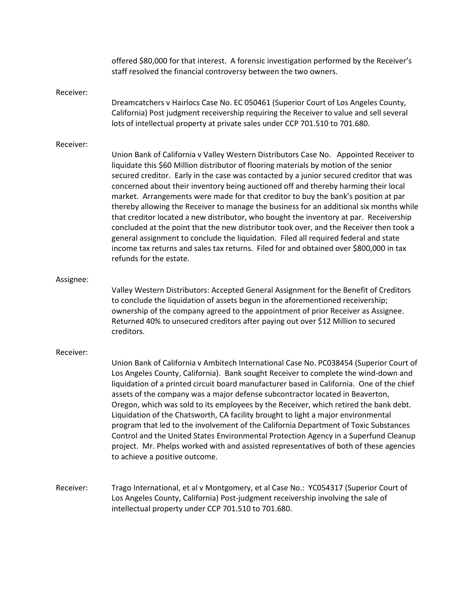|           | offered \$80,000 for that interest. A forensic investigation performed by the Receiver's<br>staff resolved the financial controversy between the two owners.                                                                                                                                                                                                                                                                                                                                                                                                                                                                                                                                                                                                                                                                                                                                                                                        |
|-----------|-----------------------------------------------------------------------------------------------------------------------------------------------------------------------------------------------------------------------------------------------------------------------------------------------------------------------------------------------------------------------------------------------------------------------------------------------------------------------------------------------------------------------------------------------------------------------------------------------------------------------------------------------------------------------------------------------------------------------------------------------------------------------------------------------------------------------------------------------------------------------------------------------------------------------------------------------------|
| Receiver: | Dreamcatchers v Hairlocs Case No. EC 050461 (Superior Court of Los Angeles County,<br>California) Post judgment receivership requiring the Receiver to value and sell several<br>lots of intellectual property at private sales under CCP 701.510 to 701.680.                                                                                                                                                                                                                                                                                                                                                                                                                                                                                                                                                                                                                                                                                       |
| Receiver: | Union Bank of California v Valley Western Distributors Case No. Appointed Receiver to<br>liquidate this \$60 Million distributor of flooring materials by motion of the senior<br>secured creditor. Early in the case was contacted by a junior secured creditor that was<br>concerned about their inventory being auctioned off and thereby harming their local<br>market. Arrangements were made for that creditor to buy the bank's position at par<br>thereby allowing the Receiver to manage the business for an additional six months while<br>that creditor located a new distributor, who bought the inventory at par. Receivership<br>concluded at the point that the new distributor took over, and the Receiver then took a<br>general assignment to conclude the liquidation. Filed all required federal and state<br>income tax returns and sales tax returns. Filed for and obtained over \$800,000 in tax<br>refunds for the estate. |
| Assignee: | Valley Western Distributors: Accepted General Assignment for the Benefit of Creditors<br>to conclude the liquidation of assets begun in the aforementioned receivership;<br>ownership of the company agreed to the appointment of prior Receiver as Assignee.<br>Returned 40% to unsecured creditors after paying out over \$12 Million to secured<br>creditors.                                                                                                                                                                                                                                                                                                                                                                                                                                                                                                                                                                                    |
| Receiver: | Union Bank of California v Ambitech International Case No. PC038454 (Superior Court of<br>Los Angeles County, California). Bank sought Receiver to complete the wind-down and<br>liquidation of a printed circuit board manufacturer based in California. One of the chief<br>assets of the company was a major defense subcontractor located in Beaverton,<br>Oregon, which was sold to its employees by the Receiver, which retired the bank debt                                                                                                                                                                                                                                                                                                                                                                                                                                                                                                 |

Oregon, which was sold to its employees by the Receiver, which retired the bank debt. Liquidation of the Chatsworth, CA facility brought to light a major environmental program that led to the involvement of the California Department of Toxic Substances Control and the United States Environmental Protection Agency in a Superfund Cleanup project. Mr. Phelps worked with and assisted representatives of both of these agencies to achieve a positive outcome.

Receiver: Trago International, et al v Montgomery, et al Case No.: YC054317 (Superior Court of Los Angeles County, California) Post-judgment receivership involving the sale of intellectual property under CCP 701.510 to 701.680.